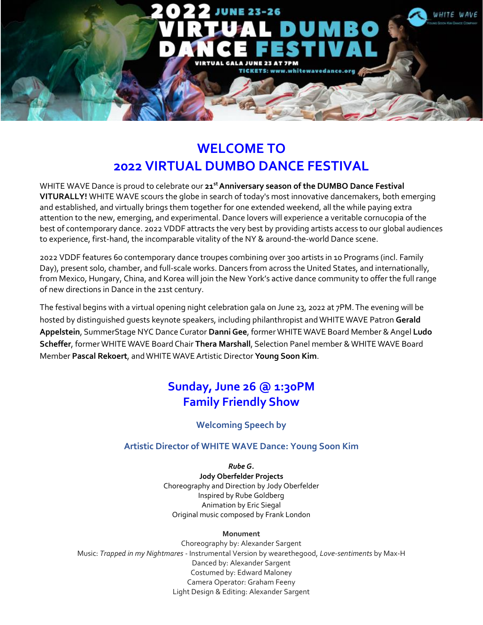

# **WELCOME TO 2022 VIRTUAL DUMBO DANCE FESTIVAL**

WHITE WAVE Dance is proud to celebrate our **21 stAnniversary season of the DUMBO Dance Festival VITURALLY!** WHITE WAVE scours the globe in search of today's most innovative dancemakers, both emerging and established, and virtually brings them together for one extended weekend, all the while paying extra attention to the new, emerging, and experimental. Dance lovers will experience a veritable cornucopia of the best of contemporary dance. 2022 VDDF attracts the very best by providing artists access to our global audiences to experience, first-hand, the incomparable vitality of the NY & around-the-world Dance scene.

2022 VDDF features 60 contemporary dance troupes combining over 300 artists in 10 Programs (incl. Family Day), present solo, chamber, and full-scale works. Dancers from across the United States, and internationally, from Mexico, Hungary, China, and Korea will join the New York's active dance community to offer the full range of new directions in Dance in the 21st century.

The festival begins with a virtual opening night celebration gala on June 23, 2022 at 7PM.The evening will be hosted by distinguished guests keynote speakers, including philanthropist andWHITEWAVE Patron **Gerald Appelstein**, SummerStage NYC Dance Curator **DanniGee**, formerWHITEWAVE Board Member &Angel **Ludo Scheffer**, formerWHITEWAVE Board Chair **Thera Marshall**, Selection Panel member &WHITE WAVE Board Member **Pascal Rekoert**, andWHITE WAVEArtistic Director **Young Soon Kim**.

# **Sunday, June 26 @ 1:30PM Family Friendly Show**

# **Welcoming Speech by**

# **Artistic Director of WHITE WAVE Dance: Young Soon Kim**

*Rube G.* **Jody Oberfelder Projects** Choreography and Direction by Jody Oberfelder Inspired by Rube Goldberg Animation by Eric Siegal Original music composed by Frank London

### **Monument**

Choreography by: Alexander Sargent Music: *Trapped in my Nightmares -* Instrumental Version by wearethegood, *Love-sentiments* by Max-H Danced by: Alexander Sargent Costumed by: Edward Maloney Camera Operator: Graham Feeny Light Design & Editing: Alexander Sargent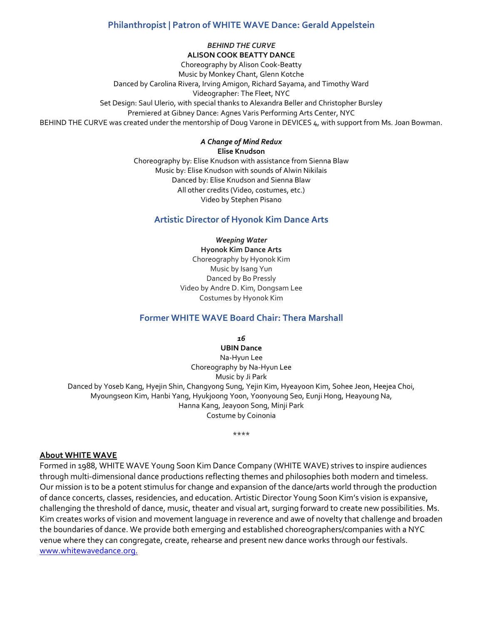## **Philanthropist | Patron of WHITE WAVE Dance: Gerald Appelstein**

*BEHIND THE CURVE* **ALISON COOK BEATTY DANCE**

Choreography by Alison Cook-Beatty Music by Monkey Chant, Glenn Kotche Danced by Carolina Rivera, Irving Amigon, Richard Sayama, and Timothy Ward Videographer: The Fleet, NYC Set Design: Saul Ulerio, with special thanks to Alexandra Beller and Christopher Bursley Premiered at Gibney Dance: Agnes Varis Performing Arts Center, NYC BEHIND THE CURVE was created under the mentorship of Doug Varone in DEVICES 4, with support from Ms. Joan Bowman.

> *A Change of Mind Redux* **Elise Knudson**

Choreography by: Elise Knudson with assistance from Sienna Blaw Music by: Elise Knudson with sounds of Alwin Nikilais Danced by: Elise Knudson and Sienna Blaw All other credits (Video, costumes, etc.) Video by Stephen Pisano

### **Artistic Director of Hyonok Kim Dance Arts**

*Weeping Water* **Hyonok Kim Dance Arts** Choreography by Hyonok Kim Music by Isang Yun Danced by Bo Pressly Video by Andre D. Kim, Dongsam Lee Costumes by Hyonok Kim

## **Former WHITE WAVE Board Chair: Thera Marshall**

*16*

**UBIN Dance** Na-Hyun Lee Choreography by Na-Hyun Lee Music by Ji Park Danced by Yoseb Kang, Hyejin Shin, Changyong Sung, Yejin Kim, Hyeayoon Kim, Sohee Jeon, Heejea Choi, Myoungseon Kim, Hanbi Yang, Hyukjoong Yoon, Yoonyoung Seo, Eunji Hong, Heayoung Na, Hanna Kang, Jeayoon Song, Minji Park Costume by Coinonia

\*\*\*\*

### **About WHITE WAVE**

Formed in 1988, WHITE WAVE Young Soon Kim Dance Company (WHITE WAVE) strives to inspire audiences through multi-dimensional dance productions reflecting themes and philosophies both modern and timeless. Our mission is to be a potent stimulus for change and expansion of the dance/arts world through the production of dance concerts, classes, residencies, and education. Artistic Director Young Soon Kim's vision is expansive, challenging the threshold of dance, music, theater and visual art, surging forward to create new possibilities. Ms. Kim creates works of vision and movement language in reverence and awe of novelty that challenge and broaden the boundaries of dance. We provide both emerging and established choreographers/companies with a NYC venue where they can congregate, create, rehearse and present new dance works through our festivals. [www.whitewavedance.org.](http://www.whitewavedance.org./)